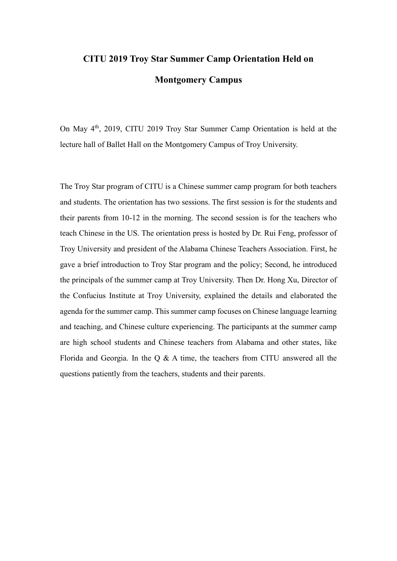## **CITU 2019 Troy Star Summer Camp Orientation Held on Montgomery Campus**

On May 4th, 2019, CITU 2019 Troy Star Summer Camp Orientation is held at the lecture hall of Ballet Hall on the Montgomery Campus of Troy University.

The Troy Star program of CITU is a Chinese summer camp program for both teachers and students. The orientation has two sessions. The first session is for the students and their parents from 10-12 in the morning. The second session is for the teachers who teach Chinese in the US. The orientation press is hosted by Dr. Rui Feng, professor of Troy University and president of the Alabama Chinese Teachers Association. First, he gave a brief introduction to Troy Star program and the policy; Second, he introduced the principals of the summer camp at Troy University. Then Dr. Hong Xu, Director of the Confucius Institute at Troy University, explained the details and elaborated the agenda for the summer camp. This summer camp focuses on Chinese language learning and teaching, and Chinese culture experiencing. The participants at the summer camp are high school students and Chinese teachers from Alabama and other states, like Florida and Georgia. In the Q & A time, the teachers from CITU answered all the questions patiently from the teachers, students and their parents.